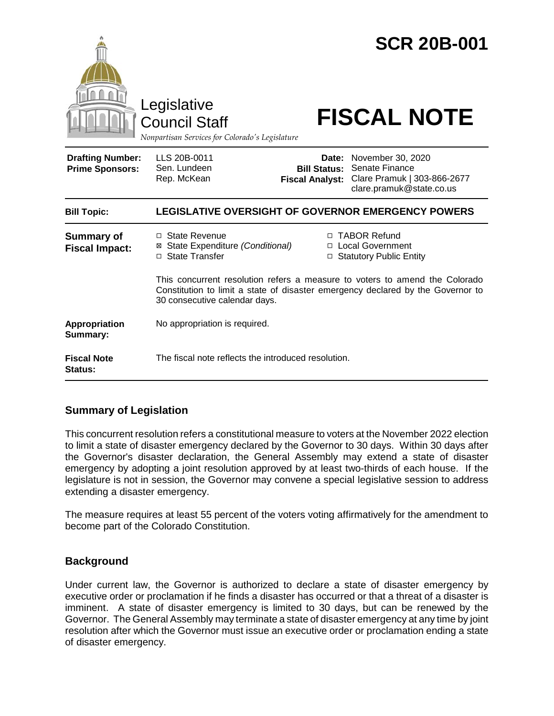|                                                   | Legislative<br><b>Council Staff</b><br>Nonpartisan Services for Colorado's Legislature                                                                                                          |                                                        | <b>SCR 20B-001</b><br><b>FISCAL NOTE</b>                                                       |
|---------------------------------------------------|-------------------------------------------------------------------------------------------------------------------------------------------------------------------------------------------------|--------------------------------------------------------|------------------------------------------------------------------------------------------------|
| <b>Drafting Number:</b><br><b>Prime Sponsors:</b> | LLS 20B-0011<br>Sen. Lundeen<br>Rep. McKean                                                                                                                                                     | Date:<br><b>Bill Status:</b><br><b>Fiscal Analyst:</b> | November 30, 2020<br>Senate Finance<br>Clare Pramuk   303-866-2677<br>clare.pramuk@state.co.us |
| <b>Bill Topic:</b>                                | <b>LEGISLATIVE OVERSIGHT OF GOVERNOR EMERGENCY POWERS</b>                                                                                                                                       |                                                        |                                                                                                |
| <b>Summary of</b><br><b>Fiscal Impact:</b>        | □ State Revenue<br>State Expenditure (Conditional)<br>⊠<br>State Transfer<br>$\Box$                                                                                                             | □                                                      | □ TABOR Refund<br>□ Local Government<br><b>Statutory Public Entity</b>                         |
|                                                   | This concurrent resolution refers a measure to voters to amend the Colorado<br>Constitution to limit a state of disaster emergency declared by the Governor to<br>30 consecutive calendar days. |                                                        |                                                                                                |
| Appropriation<br>Summary:                         | No appropriation is required.                                                                                                                                                                   |                                                        |                                                                                                |
| <b>Fiscal Note</b><br>Status:                     | The fiscal note reflects the introduced resolution.                                                                                                                                             |                                                        |                                                                                                |

# **Summary of Legislation**

This concurrent resolution refers a constitutional measure to voters at the November 2022 election to limit a state of disaster emergency declared by the Governor to 30 days. Within 30 days after the Governor's disaster declaration, the General Assembly may extend a state of disaster emergency by adopting a joint resolution approved by at least two-thirds of each house. If the legislature is not in session, the Governor may convene a special legislative session to address extending a disaster emergency.

The measure requires at least 55 percent of the voters voting affirmatively for the amendment to become part of the Colorado Constitution.

# **Background**

Under current law, the Governor is authorized to declare a state of disaster emergency by executive order or proclamation if he finds a disaster has occurred or that a threat of a disaster is imminent. A state of disaster emergency is limited to 30 days, but can be renewed by the Governor. The General Assembly may terminate a state of disaster emergency at any time by joint resolution after which the Governor must issue an executive order or proclamation ending a state of disaster emergency.